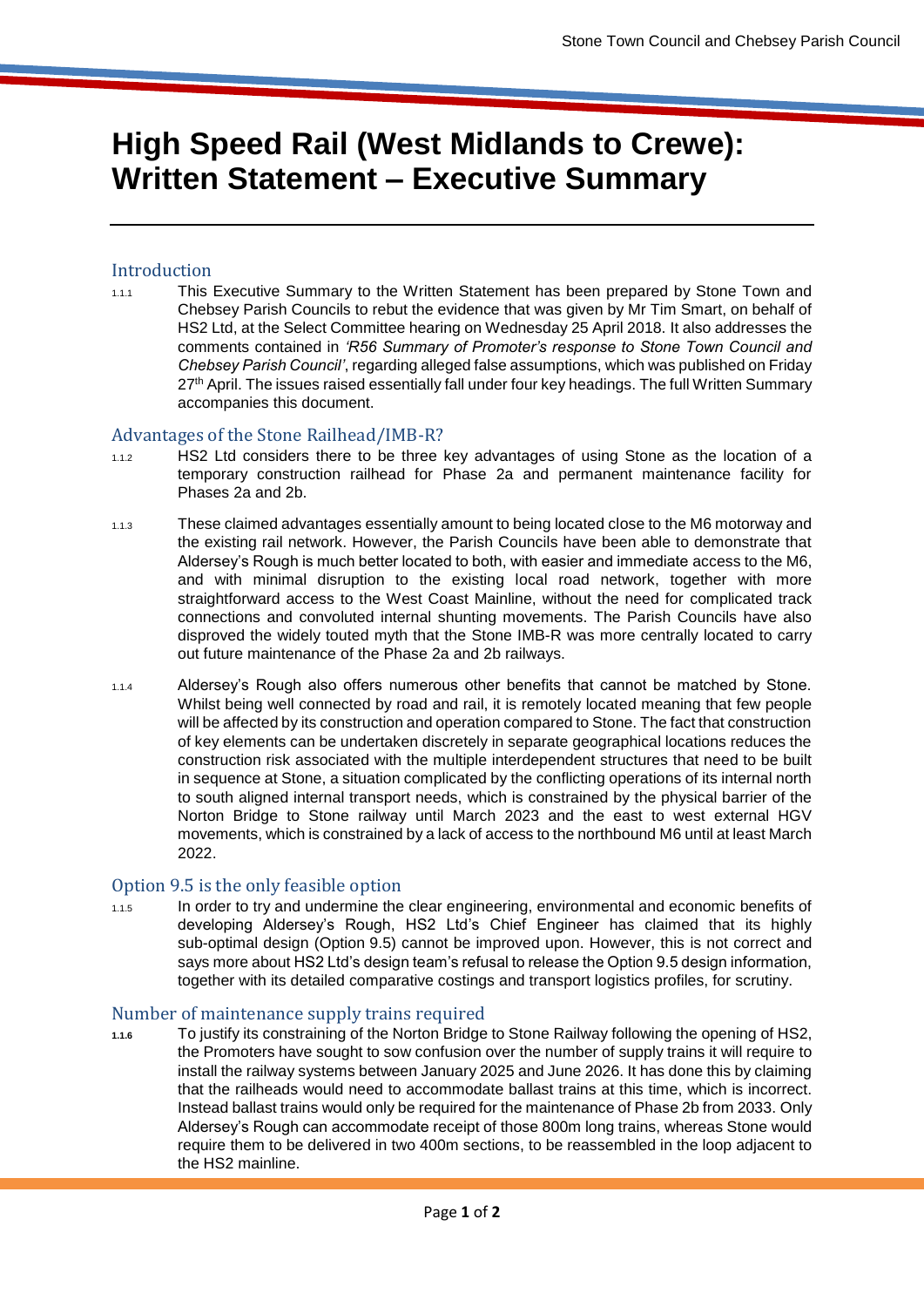# **High Speed Rail (West Midlands to Crewe): Written Statement – Executive Summary**

### Introduction

1.1.1 This Executive Summary to the Written Statement has been prepared by Stone Town and Chebsey Parish Councils to rebut the evidence that was given by Mr Tim Smart, on behalf of HS2 Ltd, at the Select Committee hearing on Wednesday 25 April 2018. It also addresses the comments contained in *'R56 Summary of Promoter's response to Stone Town Council and Chebsey Parish Council'*, regarding alleged false assumptions, which was published on Friday 27<sup>th</sup> April. The issues raised essentially fall under four key headings. The full Written Summary accompanies this document.

#### Advantages of the Stone Railhead/IMB-R?

- 1.1.2 HS2 Ltd considers there to be three key advantages of using Stone as the location of a temporary construction railhead for Phase 2a and permanent maintenance facility for Phases 2a and 2b.
- 1.1.3 These claimed advantages essentially amount to being located close to the M6 motorway and the existing rail network. However, the Parish Councils have been able to demonstrate that Aldersey's Rough is much better located to both, with easier and immediate access to the M6, and with minimal disruption to the existing local road network, together with more straightforward access to the West Coast Mainline, without the need for complicated track connections and convoluted internal shunting movements. The Parish Councils have also disproved the widely touted myth that the Stone IMB-R was more centrally located to carry out future maintenance of the Phase 2a and 2b railways.
- 1.1.4 Aldersey's Rough also offers numerous other benefits that cannot be matched by Stone. Whilst being well connected by road and rail, it is remotely located meaning that few people will be affected by its construction and operation compared to Stone. The fact that construction of key elements can be undertaken discretely in separate geographical locations reduces the construction risk associated with the multiple interdependent structures that need to be built in sequence at Stone, a situation complicated by the conflicting operations of its internal north to south aligned internal transport needs, which is constrained by the physical barrier of the Norton Bridge to Stone railway until March 2023 and the east to west external HGV movements, which is constrained by a lack of access to the northbound M6 until at least March 2022.

## Option 9.5 is the only feasible option

1.1.5 In order to try and undermine the clear engineering, environmental and economic benefits of developing Aldersey's Rough, HS2 Ltd's Chief Engineer has claimed that its highly sub-optimal design (Option 9.5) cannot be improved upon. However, this is not correct and says more about HS2 Ltd's design team's refusal to release the Option 9.5 design information, together with its detailed comparative costings and transport logistics profiles, for scrutiny.

#### Number of maintenance supply trains required

**1.1.6** To justify its constraining of the Norton Bridge to Stone Railway following the opening of HS2, the Promoters have sought to sow confusion over the number of supply trains it will require to install the railway systems between January 2025 and June 2026. It has done this by claiming that the railheads would need to accommodate ballast trains at this time, which is incorrect. Instead ballast trains would only be required for the maintenance of Phase 2b from 2033. Only Aldersey's Rough can accommodate receipt of those 800m long trains, whereas Stone would require them to be delivered in two 400m sections, to be reassembled in the loop adjacent to the HS2 mainline.